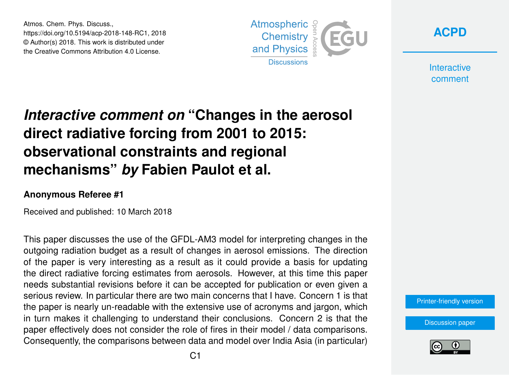Atmos. Chem. Phys. Discuss., https://doi.org/10.5194/acp-2018-148-RC1, 2018 © Author(s) 2018. This work is distributed under the Creative Commons Attribution 4.0 License.





**Interactive** comment

## *Interactive comment on* **"Changes in the aerosol direct radiative forcing from 2001 to 2015: observational constraints and regional mechanisms"** *by* **Fabien Paulot et al.**

## **Anonymous Referee #1**

Received and published: 10 March 2018

This paper discusses the use of the GFDL-AM3 model for interpreting changes in the outgoing radiation budget as a result of changes in aerosol emissions. The direction of the paper is very interesting as a result as it could provide a basis for updating the direct radiative forcing estimates from aerosols. However, at this time this paper needs substantial revisions before it can be accepted for publication or even given a serious review. In particular there are two main concerns that I have. Concern 1 is that the paper is nearly un-readable with the extensive use of acronyms and jargon, which in turn makes it challenging to understand their conclusions. Concern 2 is that the paper effectively does not consider the role of fires in their model / data comparisons. Consequently, the comparisons between data and model over India Asia (in particular)

[Printer-friendly version](https://www.atmos-chem-phys-discuss.net/acp-2018-148/acp-2018-148-RC1-print.pdf)

[Discussion paper](https://www.atmos-chem-phys-discuss.net/acp-2018-148)

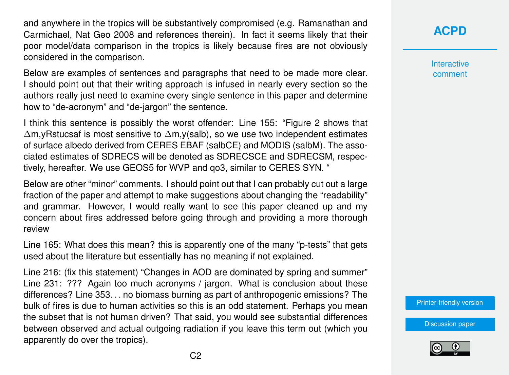and anywhere in the tropics will be substantively compromised (e.g. Ramanathan and Carmichael, Nat Geo 2008 and references therein). In fact it seems likely that their poor model/data comparison in the tropics is likely because fires are not obviously considered in the comparison.

Below are examples of sentences and paragraphs that need to be made more clear. I should point out that their writing approach is infused in nearly every section so the authors really just need to examine every single sentence in this paper and determine how to "de-acronym" and "de-jargon" the sentence.

I think this sentence is possibly the worst offender: Line 155: "Figure 2 shows that ∆m,yRstucsaf is most sensitive to ∆m,y(salb), so we use two independent estimates of surface albedo derived from CERES EBAF (salbCE) and MODIS (salbM). The associated estimates of SDRECS will be denoted as SDRECSCE and SDRECSM, respectively, hereafter. We use GEOS5 for WVP and qo3, similar to CERES SYN. "

Below are other "minor" comments. I should point out that I can probably cut out a large fraction of the paper and attempt to make suggestions about changing the "readability" and grammar. However, I would really want to see this paper cleaned up and my concern about fires addressed before going through and providing a more thorough review

Line 165: What does this mean? this is apparently one of the many "p-tests" that gets used about the literature but essentially has no meaning if not explained.

Line 216: (fix this statement) "Changes in AOD are dominated by spring and summer" Line 231: ??? Again too much acronyms / jargon. What is conclusion about these differences? Line 353. . . no biomass burning as part of anthropogenic emissions? The bulk of fires is due to human activities so this is an odd statement. Perhaps you mean the subset that is not human driven? That said, you would see substantial differences between observed and actual outgoing radiation if you leave this term out (which you apparently do over the tropics).

## **[ACPD](https://www.atmos-chem-phys-discuss.net/)**

Interactive comment

[Printer-friendly version](https://www.atmos-chem-phys-discuss.net/acp-2018-148/acp-2018-148-RC1-print.pdf)

[Discussion paper](https://www.atmos-chem-phys-discuss.net/acp-2018-148)